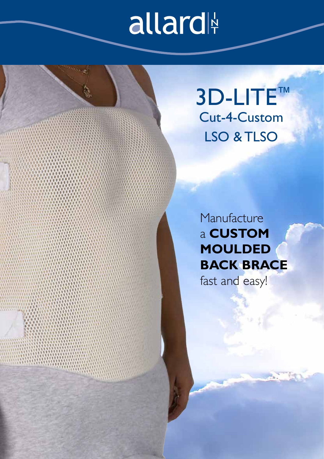## allard

Cut-4-Custom LSO & TLSO 3D-LITE™

**Manufacture** a **CUSTOM MOULDED BACK BRACE** 

fast and easy!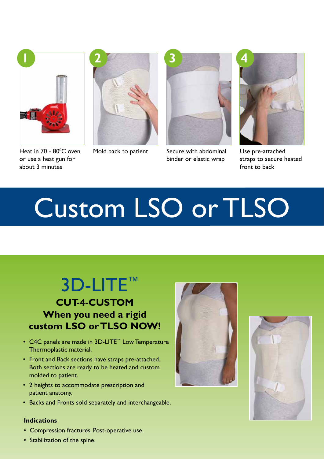

Heat in 70 - 80<sup>o</sup>C oven or use a heat gun for about 3 minutes





Mold back to patient Secure with abdominal binder or elastic wrap



Use pre-attached straps to secure heated front to back

# Custom LSO or TLSO

### 3D-LITE™

### **CUT-4-CUSTOM When you need a rigid custom LSO or TLSO NOW!**

- C4C panels are made in 3D-LITE™ Low Temperature Thermoplastic material.
- Front and Back sections have straps pre-attached. Both sections are ready to be heated and custom molded to patient.
- 2 heights to accommodate prescription and patient anatomy.
- Backs and Fronts sold separately and interchangeable.

#### **Indications**

• Compression fractures. Post-operative use.





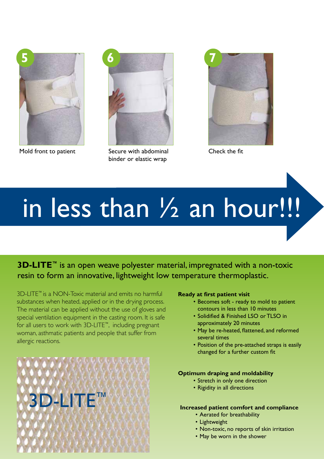

Mold front to patient Secure with abdominal



binder or elastic wrap



Check the fit

# in less than 1/2 an hour!!!

**3D-LITE<sup>™</sup>** is an open weave polyester material, impregnated with a non-toxic resin to form an innovative, lightweight low temperature thermoplastic.

3D-LITE™ is a NON-Toxic material and emits no harmful substances when heated, applied or in the drying process. The material can be applied without the use of gloves and special ventilation equipment in the casting room. It is safe for all users to work with 3D-LITE™, including pregnant woman, asthmatic patients and people that suffer from allergic reactions.



#### **Ready at first patient visit**

- Becomes soft ready to mold to patient contours in less than 10 minutes
- Solidified & Finished LSO or TLSO in approximately 20 minutes
- May be re-heated, flattened, and reformed several times
- Position of the pre-attached straps is easily changed for a further custom fit

#### **Optimum draping and moldability**

- Stretch in only one direction
- Rigidity in all directions

#### **Increased patient comfort and compliance**

- Aerated for breathability
- Lightweight
- Non-toxic, no reports of skin irritation
- May be worn in the shower